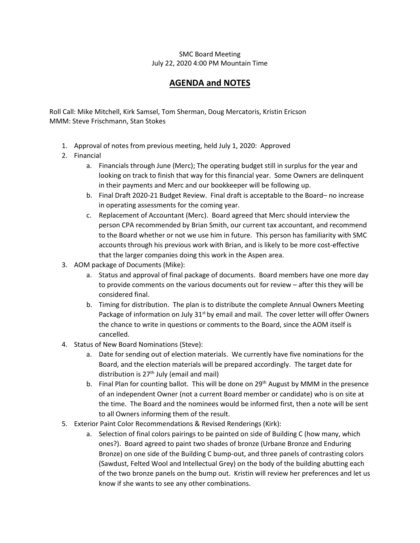## SMC Board Meeting July 22, 2020 4:00 PM Mountain Time

## **AGENDA and NOTES**

Roll Call: Mike Mitchell, Kirk Samsel, Tom Sherman, Doug Mercatoris, Kristin Ericson MMM: Steve Frischmann, Stan Stokes

- 1. Approval of notes from previous meeting, held July 1, 2020: Approved
- 2. Financial
	- a. Financials through June (Merc); The operating budget still in surplus for the year and looking on track to finish that way for this financial year. Some Owners are delinquent in their payments and Merc and our bookkeeper will be following up.
	- b. Final Draft 2020-21 Budget Review. Final draft is acceptable to the Board– no increase in operating assessments for the coming year.
	- c. Replacement of Accountant (Merc). Board agreed that Merc should interview the person CPA recommended by Brian Smith, our current tax accountant, and recommend to the Board whether or not we use him in future. This person has familiarity with SMC accounts through his previous work with Brian, and is likely to be more cost-effective that the larger companies doing this work in the Aspen area.
- 3. AOM package of Documents (Mike):
	- a. Status and approval of final package of documents. Board members have one more day to provide comments on the various documents out for review – after this they will be considered final.
	- b. Timing for distribution. The plan is to distribute the complete Annual Owners Meeting Package of information on July 31<sup>st</sup> by email and mail. The cover letter will offer Owners the chance to write in questions or comments to the Board, since the AOM itself is cancelled.
- 4. Status of New Board Nominations (Steve):
	- a. Date for sending out of election materials. We currently have five nominations for the Board, and the election materials will be prepared accordingly. The target date for distribution is  $27<sup>th</sup>$  July (email and mail)
	- b. Final Plan for counting ballot. This will be done on  $29<sup>th</sup>$  August by MMM in the presence of an independent Owner (not a current Board member or candidate) who is on site at the time. The Board and the nominees would be informed first, then a note will be sent to all Owners informing them of the result.
- 5. Exterior Paint Color Recommendations & Revised Renderings (Kirk):
	- a. Selection of final colors pairings to be painted on side of Building C (how many, which ones?). Board agreed to paint two shades of bronze (Urbane Bronze and Enduring Bronze) on one side of the Building C bump-out, and three panels of contrasting colors (Sawdust, Felted Wool and Intellectual Grey) on the body of the building abutting each of the two bronze panels on the bump out. Kristin will review her preferences and let us know if she wants to see any other combinations.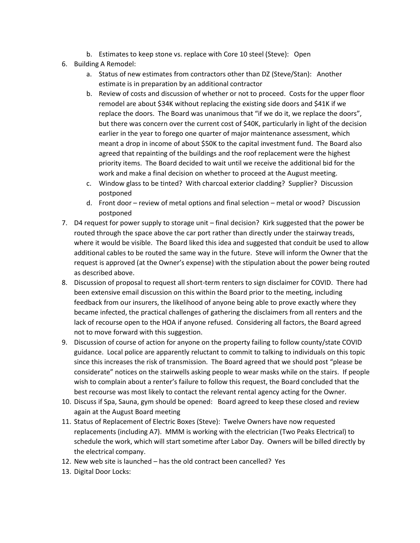- b. Estimates to keep stone vs. replace with Core 10 steel (Steve): Open
- 6. Building A Remodel:
	- a. Status of new estimates from contractors other than DZ (Steve/Stan): Another estimate is in preparation by an additional contractor
	- b. Review of costs and discussion of whether or not to proceed. Costs for the upper floor remodel are about \$34K without replacing the existing side doors and \$41K if we replace the doors. The Board was unanimous that "if we do it, we replace the doors", but there was concern over the current cost of \$40K, particularly in light of the decision earlier in the year to forego one quarter of major maintenance assessment, which meant a drop in income of about \$50K to the capital investment fund. The Board also agreed that repainting of the buildings and the roof replacement were the highest priority items. The Board decided to wait until we receive the additional bid for the work and make a final decision on whether to proceed at the August meeting.
	- c. Window glass to be tinted? With charcoal exterior cladding? Supplier? Discussion postponed
	- d. Front door review of metal options and final selection metal or wood? Discussion postponed
- 7. D4 request for power supply to storage unit final decision? Kirk suggested that the power be routed through the space above the car port rather than directly under the stairway treads, where it would be visible. The Board liked this idea and suggested that conduit be used to allow additional cables to be routed the same way in the future. Steve will inform the Owner that the request is approved (at the Owner's expense) with the stipulation about the power being routed as described above.
- 8. Discussion of proposal to request all short-term renters to sign disclaimer for COVID. There had been extensive email discussion on this within the Board prior to the meeting, including feedback from our insurers, the likelihood of anyone being able to prove exactly where they became infected, the practical challenges of gathering the disclaimers from all renters and the lack of recourse open to the HOA if anyone refused. Considering all factors, the Board agreed not to move forward with this suggestion.
- 9. Discussion of course of action for anyone on the property failing to follow county/state COVID guidance. Local police are apparently reluctant to commit to talking to individuals on this topic since this increases the risk of transmission. The Board agreed that we should post "please be considerate" notices on the stairwells asking people to wear masks while on the stairs. If people wish to complain about a renter's failure to follow this request, the Board concluded that the best recourse was most likely to contact the relevant rental agency acting for the Owner.
- 10. Discuss if Spa, Sauna, gym should be opened: Board agreed to keep these closed and review again at the August Board meeting
- 11. Status of Replacement of Electric Boxes (Steve): Twelve Owners have now requested replacements (including A7). MMM is working with the electrician (Two Peaks Electrical) to schedule the work, which will start sometime after Labor Day. Owners will be billed directly by the electrical company.
- 12. New web site is launched has the old contract been cancelled? Yes
- 13. Digital Door Locks: